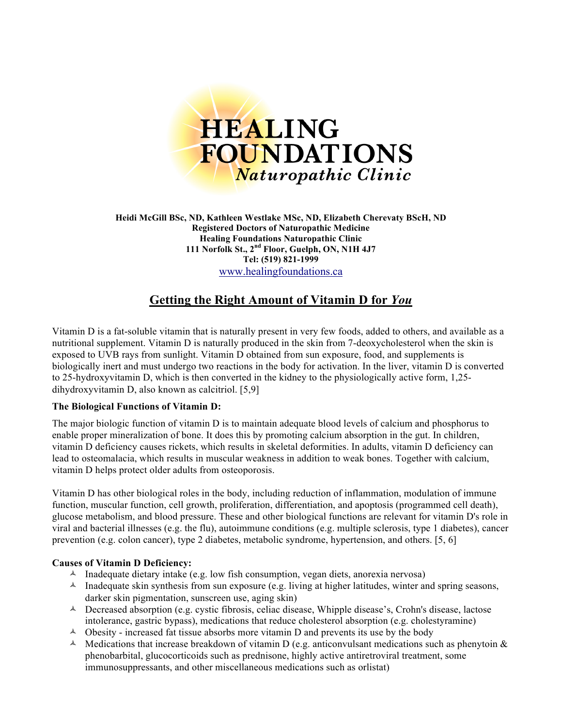

**Heidi McGill BSc, ND, Kathleen Westlake MSc, ND, Elizabeth Cherevaty BScH, ND Registered Doctors of Naturopathic Medicine Healing Foundations Naturopathic Clinic 111 Norfolk St., 2nd Floor, Guelph, ON, N1H 4J7 Tel: (519) 821-1999** www.healingfoundations.ca

# **Getting the Right Amount of Vitamin D for** *You*

Vitamin D is a fat-soluble vitamin that is naturally present in very few foods, added to others, and available as a nutritional supplement. Vitamin D is naturally produced in the skin from 7-deoxycholesterol when the skin is exposed to UVB rays from sunlight. Vitamin D obtained from sun exposure, food, and supplements is biologically inert and must undergo two reactions in the body for activation. In the liver, vitamin D is converted to 25-hydroxyvitamin D, which is then converted in the kidney to the physiologically active form, 1,25 dihydroxyvitamin D, also known as calcitriol. [5,9]

#### **The Biological Functions of Vitamin D:**

The major biologic function of vitamin D is to maintain adequate blood levels of calcium and phosphorus to enable proper mineralization of bone. It does this by promoting calcium absorption in the gut. In children, vitamin D deficiency causes rickets, which results in skeletal deformities. In adults, vitamin D deficiency can lead to osteomalacia, which results in muscular weakness in addition to weak bones. Together with calcium, vitamin D helps protect older adults from osteoporosis.

Vitamin D has other biological roles in the body, including reduction of inflammation, modulation of immune function, muscular function, cell growth, proliferation, differentiation, and apoptosis (programmed cell death), glucose metabolism, and blood pressure. These and other biological functions are relevant for vitamin D's role in viral and bacterial illnesses (e.g. the flu), autoimmune conditions (e.g. multiple sclerosis, type 1 diabetes), cancer prevention (e.g. colon cancer), type 2 diabetes, metabolic syndrome, hypertension, and others. [5, 6]

## **Causes of Vitamin D Deficiency:**

- $\lambda$  Inadequate dietary intake (e.g. low fish consumption, vegan diets, anorexia nervosa)
- $\triangle$  Inadequate skin synthesis from sun exposure (e.g. living at higher latitudes, winter and spring seasons, darker skin pigmentation, sunscreen use, aging skin)
- $\triangle$  Decreased absorption (e.g. cystic fibrosis, celiac disease, Whipple disease's, Crohn's disease, lactose intolerance, gastric bypass), medications that reduce cholesterol absorption (e.g. cholestyramine)
- $\triangle$  Obesity increased fat tissue absorbs more vitamin D and prevents its use by the body
- $\triangle$  Medications that increase breakdown of vitamin D (e.g. anticonvulsant medications such as phenytoin & phenobarbital, glucocorticoids such as prednisone, highly active antiretroviral treatment, some immunosuppressants, and other miscellaneous medications such as orlistat)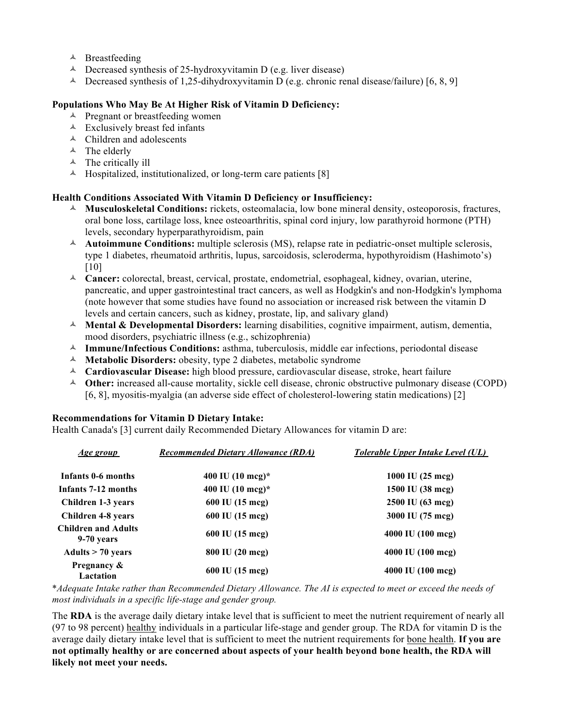- $\triangle$  Breastfeeding
- $\triangle$  Decreased synthesis of 25-hydroxyvitamin D (e.g. liver disease)
- $\triangle$  Decreased synthesis of 1,25-dihydroxyvitamin D (e.g. chronic renal disease/failure) [6, 8, 9]

#### **Populations Who May Be At Higher Risk of Vitamin D Deficiency:**

- $\triangle$  Pregnant or breastfeeding women
- $\triangle$  Exclusively breast fed infants
- $\triangle$  Children and adolescents
- $\triangle$  The elderly
- $\triangle$  The critically ill
- $\triangle$  Hospitalized, institutionalized, or long-term care patients [8]

## **Health Conditions Associated With Vitamin D Deficiency or Insufficiency:**

- **Musculoskeletal Conditions:** rickets, osteomalacia, low bone mineral density, osteoporosis, fractures, oral bone loss, cartilage loss, knee osteoarthritis, spinal cord injury, low parathyroid hormone (PTH) levels, secondary hyperparathyroidism, pain
- **Autoimmune Conditions:** multiple sclerosis (MS), relapse rate in pediatric-onset multiple sclerosis, type 1 diabetes, rheumatoid arthritis, lupus, sarcoidosis, scleroderma, hypothyroidism (Hashimoto's) [10]
- **Cancer:** colorectal, breast, cervical, prostate, endometrial, esophageal, kidney, ovarian, uterine, pancreatic, and upper gastrointestinal tract cancers, as well as Hodgkin's and non-Hodgkin's lymphoma (note however that some studies have found no association or increased risk between the vitamin D levels and certain cancers, such as kidney, prostate, lip, and salivary gland)
- **Mental & Developmental Disorders:** learning disabilities, cognitive impairment, autism, dementia, mood disorders, psychiatric illness (e.g., schizophrenia)
- **Immune/Infectious Conditions:** asthma, tuberculosis, middle ear infections, periodontal disease
- **Metabolic Disorders:** obesity, type 2 diabetes, metabolic syndrome
- **Cardiovascular Disease:** high blood pressure, cardiovascular disease, stroke, heart failure
- **Other:** increased all-cause mortality, sickle cell disease, chronic obstructive pulmonary disease (COPD) [6, 8], myositis-myalgia (an adverse side effect of cholesterol-lowering statin medications) [2]

#### **Recommendations for Vitamin D Dietary Intake:**

Health Canada's [3] current daily Recommended Dietary Allowances for vitamin D are:

| <u>Age group</u>                         | <b>Recommended Dietary Allowance (RDA)</b> | <b>Tolerable Upper Intake Level (UL)</b> |
|------------------------------------------|--------------------------------------------|------------------------------------------|
| Infants 0-6 months                       | 400 IU $(10 \text{ mcg})^*$                | 1000 IU (25 mcg)                         |
| Infants 7-12 months                      | 400 IU (10 mcg)*                           | 1500 IU (38 mcg)                         |
| Children 1-3 years                       | 600 IU (15 mcg)                            | 2500 IU (63 mcg)                         |
| <b>Children 4-8 years</b>                | 600 IU (15 mcg)                            | 3000 IU (75 mcg)                         |
| <b>Children and Adults</b><br>9-70 years | 600 IU (15 mcg)                            | 4000 IU (100 mcg)                        |
| Adults $> 70$ years                      | 800 IU (20 mcg)                            | 4000 IU (100 mcg)                        |
| Pregnancy &<br>Lactation                 | 600 IU (15 mcg)                            | 4000 IU (100 mcg)                        |

\**Adequate Intake rather than Recommended Dietary Allowance. The AI is expected to meet or exceed the needs of most individuals in a specific life-stage and gender group.*

The **RDA** is the average daily dietary intake level that is sufficient to meet the nutrient requirement of nearly all (97 to 98 percent) healthy individuals in a particular life-stage and gender group. The RDA for vitamin D is the average daily dietary intake level that is sufficient to meet the nutrient requirements for bone health. **If you are not optimally healthy or are concerned about aspects of your health beyond bone health, the RDA will likely not meet your needs.**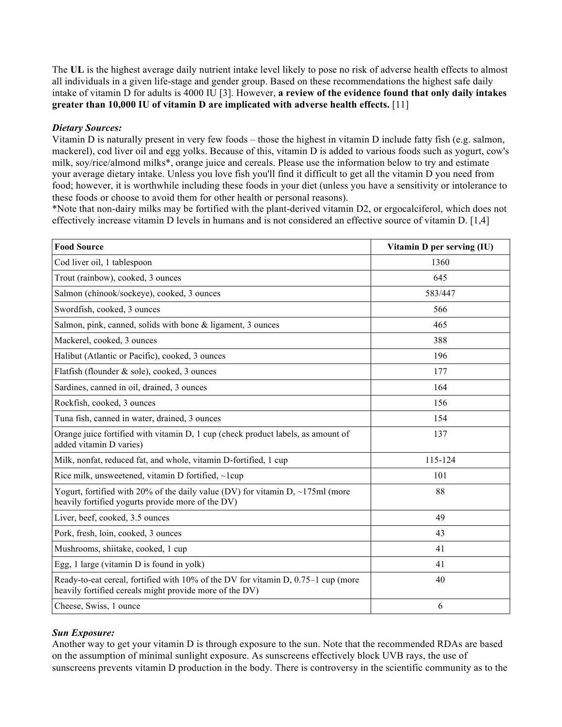The **UL** is the highest average daily nutrient intake level likely to pose no risk of adverse health effects to almost all individuals in a given life-stage and gender group. Based on these recommendations the highest safe daily intake of vitamin D for adults is 4000 IU [3]. However, **a review of the evidence found that only daily intakes greater than 10,000 IU of vitamin D are implicated with adverse health effects.** [11]

#### *Dietary Sources:*

Vitamin D is naturally present in very few foods – those the highest in vitamin D include fatty fish (e.g. salmon, mackerel), cod liver oil and egg yolks. Because of this, vitamin D is added to various foods such as yogurt, cow's milk, soy/rice/almond milks\*, orange juice and cereals. Please use the information below to try and estimate your average dietary intake. Unless you love fish you'll find it difficult to get all the vitamin D you need from food; however, it is worthwhile including these foods in your diet (unless you have a sensitivity or intolerance to these foods or choose to avoid them for other health or personal reasons).

\*Note that non-dairy milks may be fortified with the plant-derived vitamin D2, or ergocalciferol, which does not effectively increase vitamin D levels in humans and is not considered an effective source of vitamin D. [1,4]

| <b>Food Source</b>                                                                                                                           | Vitamin D per serving (IU) |
|----------------------------------------------------------------------------------------------------------------------------------------------|----------------------------|
| Cod liver oil, 1 tablespoon                                                                                                                  | 1360                       |
| Trout (rainbow), cooked, 3 ounces                                                                                                            | 645                        |
| Salmon (chinook/sockeye), cooked, 3 ounces                                                                                                   | 583/447                    |
| Swordfish, cooked, 3 ounces                                                                                                                  | 566                        |
| Salmon, pink, canned, solids with bone & ligament, 3 ounces                                                                                  | 465                        |
| Mackerel, cooked, 3 ounces                                                                                                                   | 388                        |
| Halibut (Atlantic or Pacific), cooked, 3 ounces                                                                                              | 196                        |
| Flatfish (flounder & sole), cooked, 3 ounces                                                                                                 | 177                        |
| Sardines, canned in oil, drained, 3 ounces                                                                                                   | 164                        |
| Rockfish, cooked, 3 ounces                                                                                                                   | 156                        |
| Tuna fish, canned in water, drained, 3 ounces                                                                                                | 154                        |
| Orange juice fortified with vitamin D, 1 cup (check product labels, as amount of<br>added vitamin D varies)                                  | 137                        |
| Milk, nonfat, reduced fat, and whole, vitamin D-fortified, 1 cup                                                                             | 115-124                    |
| Rice milk, unsweetened, vitamin D fortified, $\sim$ lcup                                                                                     | 101                        |
| Yogurt, fortified with 20% of the daily value (DV) for vitamin $D$ , ~175ml (more<br>heavily fortified yogurts provide more of the DV)       | 88                         |
| Liver, beef, cooked, 3.5 ounces                                                                                                              | 49                         |
| Pork, fresh, loin, cooked, 3 ounces                                                                                                          | 43                         |
| Mushrooms, shiitake, cooked, 1 cup                                                                                                           | 41                         |
| Egg, 1 large (vitamin D is found in yolk)                                                                                                    | 41                         |
| Ready-to-eat cereal, fortified with 10% of the DV for vitamin D, 0.75–1 cup (more<br>heavily fortified cereals might provide more of the DV) | 40                         |
| Cheese, Swiss, 1 ounce                                                                                                                       | 6                          |

#### *Sun Exposure:*

Another way to get your vitamin D is through exposure to the sun. Note that the recommended RDAs are based on the assumption of minimal sunlight exposure. As sunscreens effectively block UVB rays, the use of sunscreens prevents vitamin D production in the body. There is controversy in the scientific community as to the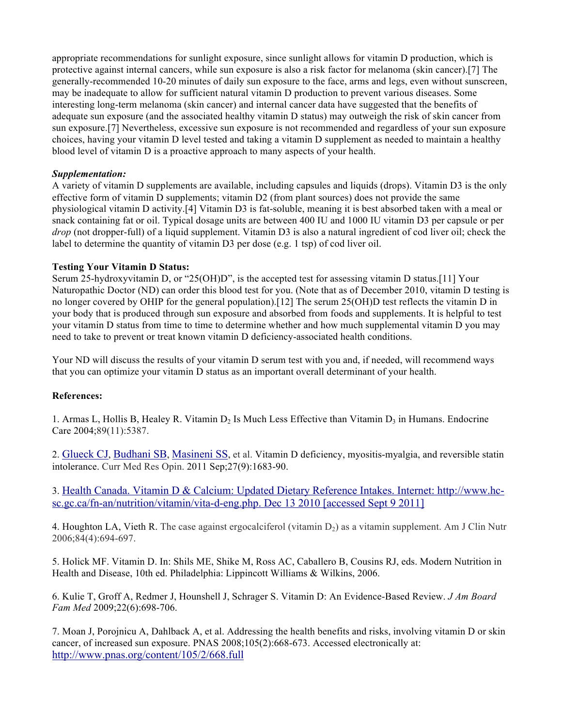appropriate recommendations for sunlight exposure, since sunlight allows for vitamin D production, which is protective against internal cancers, while sun exposure is also a risk factor for melanoma (skin cancer).[7] The generally-recommended 10-20 minutes of daily sun exposure to the face, arms and legs, even without sunscreen, may be inadequate to allow for sufficient natural vitamin D production to prevent various diseases. Some interesting long-term melanoma (skin cancer) and internal cancer data have suggested that the benefits of adequate sun exposure (and the associated healthy vitamin D status) may outweigh the risk of skin cancer from sun exposure.[7] Nevertheless, excessive sun exposure is not recommended and regardless of your sun exposure choices, having your vitamin D level tested and taking a vitamin D supplement as needed to maintain a healthy blood level of vitamin D is a proactive approach to many aspects of your health.

## *Supplementation:*

A variety of vitamin D supplements are available, including capsules and liquids (drops). Vitamin D3 is the only effective form of vitamin D supplements; vitamin D2 (from plant sources) does not provide the same physiological vitamin D activity.[4] Vitamin D3 is fat-soluble, meaning it is best absorbed taken with a meal or snack containing fat or oil. Typical dosage units are between 400 IU and 1000 IU vitamin D3 per capsule or per *drop* (not dropper-full) of a liquid supplement. Vitamin D3 is also a natural ingredient of cod liver oil; check the label to determine the quantity of vitamin D3 per dose (e.g. 1 tsp) of cod liver oil.

## **Testing Your Vitamin D Status:**

Serum 25-hydroxyvitamin D, or "25(OH)D", is the accepted test for assessing vitamin D status.[11] Your Naturopathic Doctor (ND) can order this blood test for you. (Note that as of December 2010, vitamin D testing is no longer covered by OHIP for the general population).[12] The serum 25(OH)D test reflects the vitamin D in your body that is produced through sun exposure and absorbed from foods and supplements. It is helpful to test your vitamin D status from time to time to determine whether and how much supplemental vitamin D you may need to take to prevent or treat known vitamin D deficiency-associated health conditions.

Your ND will discuss the results of your vitamin D serum test with you and, if needed, will recommend ways that you can optimize your vitamin D status as an important overall determinant of your health.

#### **References:**

1. Armas L, Hollis B, Healey R. Vitamin  $D_2$  Is Much Less Effective than Vitamin  $D_3$  in Humans. Endocrine Care 2004;89(11):5387.

2. Glueck CJ, Budhani SB, Masineni SS, et al. Vitamin D deficiency, myositis-myalgia, and reversible statin intolerance. Curr Med Res Opin. 2011 Sep;27(9):1683-90.

3. Health Canada. Vitamin D & Calcium: Updated Dietary Reference Intakes. Internet: http://www.hcsc.gc.ca/fn-an/nutrition/vitamin/vita-d-eng.php. Dec 13 2010 [accessed Sept 9 2011]

4. Houghton LA, Vieth R. The case against ergocalciferol (vitamin  $D_2$ ) as a vitamin supplement. Am J Clin Nutr 2006;84(4):694-697.

5. Holick MF. Vitamin D. In: Shils ME, Shike M, Ross AC, Caballero B, Cousins RJ, eds. Modern Nutrition in Health and Disease, 10th ed. Philadelphia: Lippincott Williams & Wilkins, 2006.

6. Kulie T, Groff A, Redmer J, Hounshell J, Schrager S. Vitamin D: An Evidence-Based Review. *J Am Board Fam Med* 2009;22(6):698-706.

7. Moan J, Porojnicu A, Dahlback A, et al. Addressing the health benefits and risks, involving vitamin D or skin cancer, of increased sun exposure. PNAS 2008;105(2):668-673. Accessed electronically at: http://www.pnas.org/content/105/2/668.full